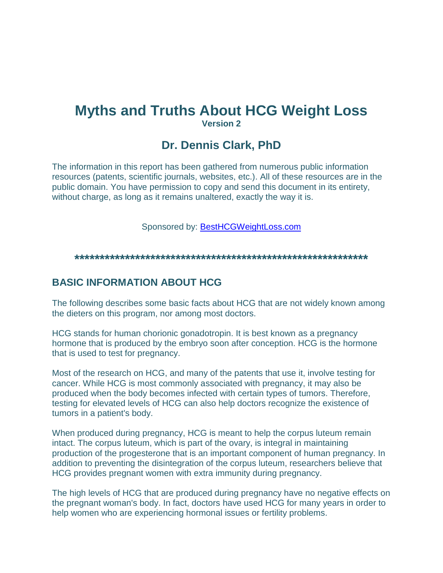# **Myths and Truths About HCG Weight Loss Version 2**

## **Dr. Dennis Clark, PhD**

The information in this report has been gathered from numerous public information resources (patents, scientific journals, websites, etc.). All of these resources are in the public domain. You have permission to copy and send this document in its entirety, without charge, as long as it remains unaltered, exactly the way it is.

Sponsored by: [BestHCGWeightLoss.com](http://besthcgweightloss.com/)

**\*\*\*\*\*\*\*\*\*\*\*\*\*\*\*\*\*\*\*\*\*\*\*\*\*\*\*\*\*\*\*\*\*\*\*\*\*\*\*\*\*\*\*\*\*\*\*\*\*\*\*\*\*\*\*\*\*\***

#### **BASIC INFORMATION ABOUT HCG**

The following describes some basic facts about HCG that are not widely known among the dieters on this program, nor among most doctors.

HCG stands for human chorionic gonadotropin. It is best known as a pregnancy hormone that is produced by the embryo soon after conception. HCG is the hormone that is used to test for pregnancy.

Most of the research on HCG, and many of the patents that use it, involve testing for cancer. While HCG is most commonly associated with pregnancy, it may also be produced when the body becomes infected with certain types of tumors. Therefore, testing for elevated levels of HCG can also help doctors recognize the existence of tumors in a patient's body.

When produced during pregnancy, HCG is meant to help the corpus luteum remain intact. The corpus luteum, which is part of the ovary, is integral in maintaining production of the progesterone that is an important component of human pregnancy. In addition to preventing the disintegration of the corpus luteum, researchers believe that HCG provides pregnant women with extra immunity during pregnancy.

The high levels of HCG that are produced during pregnancy have no negative effects on the pregnant woman's body. In fact, doctors have used HCG for many years in order to help women who are experiencing hormonal issues or fertility problems.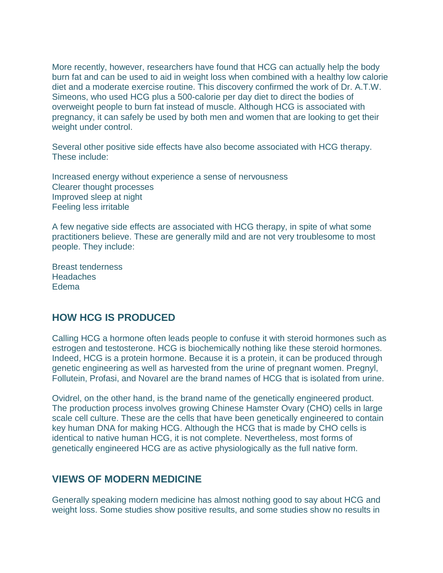More recently, however, researchers have found that HCG can actually help the body burn fat and can be used to aid in weight loss when combined with a healthy low calorie diet and a moderate exercise routine. This discovery confirmed the work of Dr. A.T.W. Simeons, who used HCG plus a 500-calorie per day diet to direct the bodies of overweight people to burn fat instead of muscle. Although HCG is associated with pregnancy, it can safely be used by both men and women that are looking to get their weight under control.

Several other positive side effects have also become associated with HCG therapy. These include:

Increased energy without experience a sense of nervousness Clearer thought processes Improved sleep at night Feeling less irritable

A few negative side effects are associated with HCG therapy, in spite of what some practitioners believe. These are generally mild and are not very troublesome to most people. They include:

Breast tenderness **Headaches** Edema

#### **HOW HCG IS PRODUCED**

Calling HCG a hormone often leads people to confuse it with steroid hormones such as estrogen and testosterone. HCG is biochemically nothing like these steroid hormones. Indeed, HCG is a protein hormone. Because it is a protein, it can be produced through genetic engineering as well as harvested from the urine of pregnant women. Pregnyl, Follutein, Profasi, and Novarel are the brand names of HCG that is isolated from urine.

Ovidrel, on the other hand, is the brand name of the genetically engineered product. The production process involves growing Chinese Hamster Ovary (CHO) cells in large scale cell culture. These are the cells that have been genetically engineered to contain key human DNA for making HCG. Although the HCG that is made by CHO cells is identical to native human HCG, it is not complete. Nevertheless, most forms of genetically engineered HCG are as active physiologically as the full native form.

#### **VIEWS OF MODERN MEDICINE**

Generally speaking modern medicine has almost nothing good to say about HCG and weight loss. Some studies show positive results, and some studies show no results in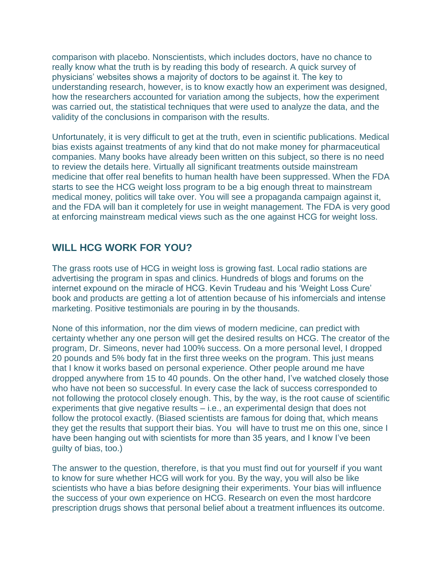comparison with placebo. Nonscientists, which includes doctors, have no chance to really know what the truth is by reading this body of research. A quick survey of physicians" websites shows a majority of doctors to be against it. The key to understanding research, however, is to know exactly how an experiment was designed, how the researchers accounted for variation among the subjects, how the experiment was carried out, the statistical techniques that were used to analyze the data, and the validity of the conclusions in comparison with the results.

Unfortunately, it is very difficult to get at the truth, even in scientific publications. Medical bias exists against treatments of any kind that do not make money for pharmaceutical companies. Many books have already been written on this subject, so there is no need to review the details here. Virtually all significant treatments outside mainstream medicine that offer real benefits to human health have been suppressed. When the FDA starts to see the HCG weight loss program to be a big enough threat to mainstream medical money, politics will take over. You will see a propaganda campaign against it, and the FDA will ban it completely for use in weight management. The FDA is very good at enforcing mainstream medical views such as the one against HCG for weight loss.

#### **WILL HCG WORK FOR YOU?**

The grass roots use of HCG in weight loss is growing fast. Local radio stations are advertising the program in spas and clinics. Hundreds of blogs and forums on the internet expound on the miracle of HCG. Kevin Trudeau and his "Weight Loss Cure" book and products are getting a lot of attention because of his infomercials and intense marketing. Positive testimonials are pouring in by the thousands.

None of this information, nor the dim views of modern medicine, can predict with certainty whether any one person will get the desired results on HCG. The creator of the program, Dr. Simeons, never had 100% success. On a more personal level, I dropped 20 pounds and 5% body fat in the first three weeks on the program. This just means that I know it works based on personal experience. Other people around me have dropped anywhere from 15 to 40 pounds. On the other hand, I"ve watched closely those who have not been so successful. In every case the lack of success corresponded to not following the protocol closely enough. This, by the way, is the root cause of scientific experiments that give negative results – i.e., an experimental design that does not follow the protocol exactly. (Biased scientists are famous for doing that, which means they get the results that support their bias. You will have to trust me on this one, since I have been hanging out with scientists for more than 35 years, and I know I've been guilty of bias, too.)

The answer to the question, therefore, is that you must find out for yourself if you want to know for sure whether HCG will work for you. By the way, you will also be like scientists who have a bias before designing their experiments. Your bias will influence the success of your own experience on HCG. Research on even the most hardcore prescription drugs shows that personal belief about a treatment influences its outcome.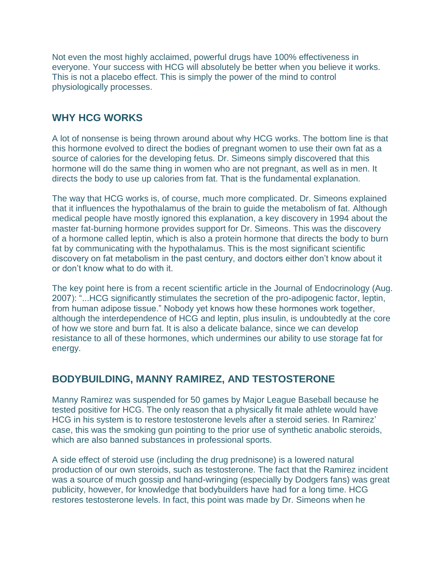Not even the most highly acclaimed, powerful drugs have 100% effectiveness in everyone. Your success with HCG will absolutely be better when you believe it works. This is not a placebo effect. This is simply the power of the mind to control physiologically processes.

### **WHY HCG WORKS**

A lot of nonsense is being thrown around about why HCG works. The bottom line is that this hormone evolved to direct the bodies of pregnant women to use their own fat as a source of calories for the developing fetus. Dr. Simeons simply discovered that this hormone will do the same thing in women who are not pregnant, as well as in men. It directs the body to use up calories from fat. That is the fundamental explanation.

The way that HCG works is, of course, much more complicated. Dr. Simeons explained that it influences the hypothalamus of the brain to guide the metabolism of fat. Although medical people have mostly ignored this explanation, a key discovery in 1994 about the master fat-burning hormone provides support for Dr. Simeons. This was the discovery of a hormone called leptin, which is also a protein hormone that directs the body to burn fat by communicating with the hypothalamus. This is the most significant scientific discovery on fat metabolism in the past century, and doctors either don"t know about it or don"t know what to do with it.

The key point here is from a recent scientific article in the Journal of Endocrinology (Aug. 2007): "...HCG significantly stimulates the secretion of the pro-adipogenic factor, leptin, from human adipose tissue." Nobody yet knows how these hormones work together, although the interdependence of HCG and leptin, plus insulin, is undoubtedly at the core of how we store and burn fat. It is also a delicate balance, since we can develop resistance to all of these hormones, which undermines our ability to use storage fat for energy.

### **BODYBUILDING, MANNY RAMIREZ, AND TESTOSTERONE**

Manny Ramirez was suspended for 50 games by Major League Baseball because he tested positive for HCG. The only reason that a physically fit male athlete would have HCG in his system is to restore testosterone levels after a steroid series. In Ramirez' case, this was the smoking gun pointing to the prior use of synthetic anabolic steroids, which are also banned substances in professional sports.

A side effect of steroid use (including the drug prednisone) is a lowered natural production of our own steroids, such as testosterone. The fact that the Ramirez incident was a source of much gossip and hand-wringing (especially by Dodgers fans) was great publicity, however, for knowledge that bodybuilders have had for a long time. HCG restores testosterone levels. In fact, this point was made by Dr. Simeons when he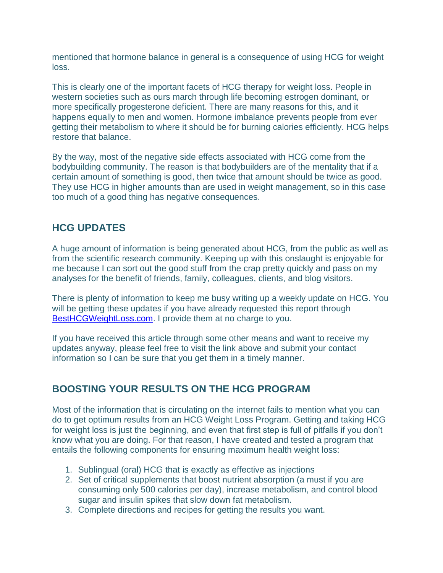mentioned that hormone balance in general is a consequence of using HCG for weight loss.

This is clearly one of the important facets of HCG therapy for weight loss. People in western societies such as ours march through life becoming estrogen dominant, or more specifically progesterone deficient. There are many reasons for this, and it happens equally to men and women. Hormone imbalance prevents people from ever getting their metabolism to where it should be for burning calories efficiently. HCG helps restore that balance.

By the way, most of the negative side effects associated with HCG come from the bodybuilding community. The reason is that bodybuilders are of the mentality that if a certain amount of something is good, then twice that amount should be twice as good. They use HCG in higher amounts than are used in weight management, so in this case too much of a good thing has negative consequences.

## **HCG UPDATES**

A huge amount of information is being generated about HCG, from the public as well as from the scientific research community. Keeping up with this onslaught is enjoyable for me because I can sort out the good stuff from the crap pretty quickly and pass on my analyses for the benefit of friends, family, colleagues, clients, and blog visitors.

There is plenty of information to keep me busy writing up a weekly update on HCG. You will be getting these updates if you have already requested this report through [BestHCGWeightLoss.com.](http://besthcgweightloss.com/) I provide them at no charge to you.

If you have received this article through some other means and want to receive my updates anyway, please feel free to visit the link above and submit your contact information so I can be sure that you get them in a timely manner.

### **BOOSTING YOUR RESULTS ON THE HCG PROGRAM**

Most of the information that is circulating on the internet fails to mention what you can do to get optimum results from an HCG Weight Loss Program. Getting and taking HCG for weight loss is just the beginning, and even that first step is full of pitfalls if you don"t know what you are doing. For that reason, I have created and tested a program that entails the following components for ensuring maximum health weight loss:

- 1. Sublingual (oral) HCG that is exactly as effective as injections
- 2. Set of critical supplements that boost nutrient absorption (a must if you are consuming only 500 calories per day), increase metabolism, and control blood sugar and insulin spikes that slow down fat metabolism.
- 3. Complete directions and recipes for getting the results you want.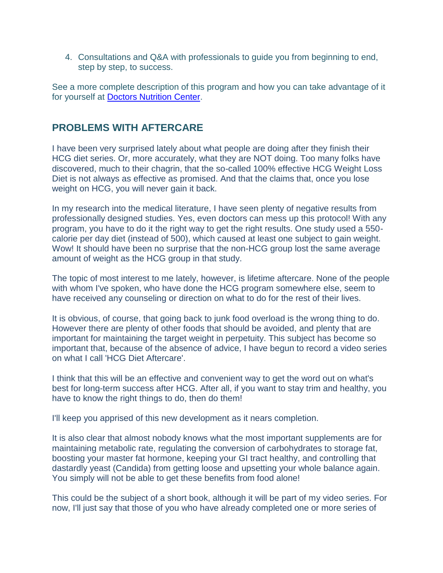4. Consultations and Q&A with professionals to guide you from beginning to end, step by step, to success.

See a more complete description of this program and how you can take advantage of it for yourself at [Doctors Nutrition Center.](http://www.doctorsnutritioncenter.com/arizona-weight-management-program.html)

### **PROBLEMS WITH AFTERCARE**

I have been very surprised lately about what people are doing after they finish their HCG diet series. Or, more accurately, what they are NOT doing. Too many folks have discovered, much to their chagrin, that the so-called 100% effective HCG Weight Loss Diet is not always as effective as promised. And that the claims that, once you lose weight on HCG, you will never gain it back.

In my research into the medical literature, I have seen plenty of negative results from professionally designed studies. Yes, even doctors can mess up this protocol! With any program, you have to do it the right way to get the right results. One study used a 550 calorie per day diet (instead of 500), which caused at least one subject to gain weight. Wow! It should have been no surprise that the non-HCG group lost the same average amount of weight as the HCG group in that study.

The topic of most interest to me lately, however, is lifetime aftercare. None of the people with whom I've spoken, who have done the HCG program somewhere else, seem to have received any counseling or direction on what to do for the rest of their lives.

It is obvious, of course, that going back to junk food overload is the wrong thing to do. However there are plenty of other foods that should be avoided, and plenty that are important for maintaining the target weight in perpetuity. This subject has become so important that, because of the absence of advice, I have begun to record a video series on what I call 'HCG Diet Aftercare'.

I think that this will be an effective and convenient way to get the word out on what's best for long-term success after HCG. After all, if you want to stay trim and healthy, you have to know the right things to do, then do them!

I'll keep you apprised of this new development as it nears completion.

It is also clear that almost nobody knows what the most important supplements are for maintaining metabolic rate, regulating the conversion of carbohydrates to storage fat, boosting your master fat hormone, keeping your GI tract healthy, and controlling that dastardly yeast (Candida) from getting loose and upsetting your whole balance again. You simply will not be able to get these benefits from food alone!

This could be the subject of a short book, although it will be part of my video series. For now, I'll just say that those of you who have already completed one or more series of